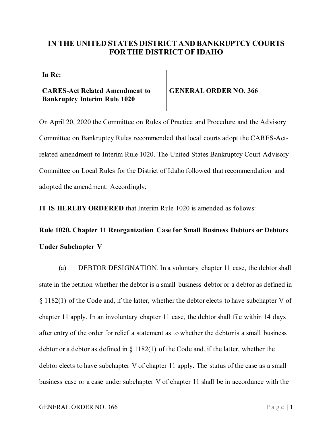## **IN THE UNITED STATES DISTRICT AND BANKRUPTCY COURTS FOR THE DISTRICT OF IDAHO**

**In Re:**

**CARES-Act Related Amendment to Bankruptcy Interim Rule 1020**

**GENERAL ORDER NO. 366**

On April 20, 2020 the Committee on Rules of Practice and Procedure and the Advisory Committee on Bankruptcy Rules recommended that local courts adopt the CARES-Actrelated amendment to Interim Rule 1020. The United States Bankruptcy Court Advisory Committee on Local Rules for the District of Idaho followed that recommendation and adopted the amendment. Accordingly,

**IT IS HEREBY ORDERED** that Interim Rule 1020 is amended as follows:

**Rule 1020. Chapter 11 Reorganization Case for Small Business Debtors or Debtors Under Subchapter V**

(a) DEBTOR DESIGNATION. In a voluntary chapter 11 case, the debtor shall state in the petition whether the debtor is a small business debtor or a debtor as defined in § 1182(1) of the Code and, if the latter, whether the debtor elects to have subchapter V of chapter 11 apply. In an involuntary chapter 11 case, the debtor shall file within 14 days after entry of the order for relief a statement as to whether the debtor is a small business debtor or a debtor as defined in § 1182(1) of the Code and, if the latter, whether the debtor elects to have subchapter V of chapter 11 apply. The status of the case as a small business case or a case under subchapter V of chapter 11 shall be in accordance with the